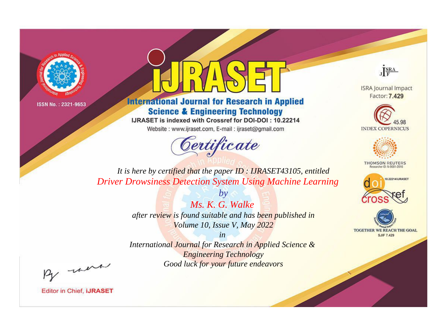



**International Journal for Research in Applied Science & Engineering Technology** 

IJRASET is indexed with Crossref for DOI-DOI: 10.22214

Website: www.ijraset.com, E-mail: ijraset@gmail.com



JERA

**ISRA Journal Impact** Factor: 7.429





**THOMSON REUTERS** 



TOGETHER WE REACH THE GOAL **SJIF 7.429** 

It is here by certified that the paper ID: IJRASET43105, entitled **Driver Drowsiness Detection System Using Machine Learning** 

> Ms. K. G. Walke after review is found suitable and has been published in Volume 10, Issue V, May 2022

 $b\nu$ 

 $in$ International Journal for Research in Applied Science & **Engineering Technology** Good luck for your future endeavors

By morn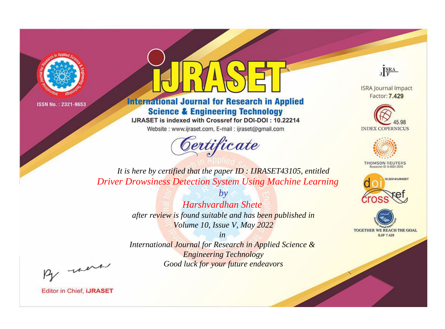



**International Journal for Research in Applied Science & Engineering Technology** 

IJRASET is indexed with Crossref for DOI-DOI: 10.22214

Website: www.ijraset.com, E-mail: ijraset@gmail.com



JERA

**ISRA Journal Impact** Factor: 7.429





**THOMSON REUTERS** 



TOGETHER WE REACH THE GOAL **SJIF 7.429** 

It is here by certified that the paper ID: IJRASET43105, entitled **Driver Drowsiness Detection System Using Machine Learning** 

> Harshvardhan Shete after review is found suitable and has been published in Volume 10, Issue V, May 2022

 $b\nu$ 

 $in$ International Journal for Research in Applied Science & **Engineering Technology** Good luck for your future endeavors

By morn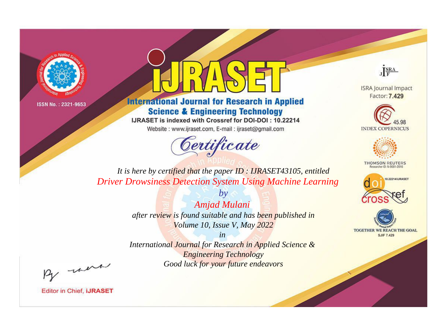



**International Journal for Research in Applied Science & Engineering Technology** 

IJRASET is indexed with Crossref for DOI-DOI: 10.22214

Website: www.ijraset.com, E-mail: ijraset@gmail.com



JERA

**ISRA Journal Impact** Factor: 7.429





**THOMSON REUTERS** 



TOGETHER WE REACH THE GOAL **SJIF 7.429** 

*It is here by certified that the paper ID : IJRASET43105, entitled Driver Drowsiness Detection System Using Machine Learning*

> *Amjad Mulani after review is found suitable and has been published in Volume 10, Issue V, May 2022*

*by*

*in* 

*International Journal for Research in Applied Science & Engineering Technology Good luck for your future endeavors*

By morn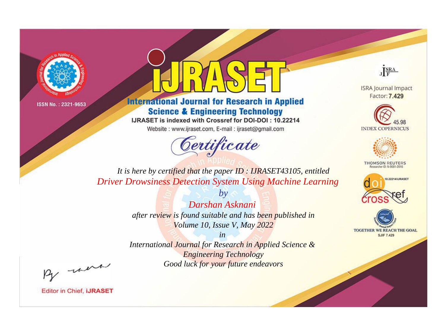



**International Journal for Research in Applied Science & Engineering Technology** 

IJRASET is indexed with Crossref for DOI-DOI: 10.22214

Website: www.ijraset.com, E-mail: ijraset@gmail.com



JERA

**ISRA Journal Impact** Factor: 7.429





**THOMSON REUTERS** 



TOGETHER WE REACH THE GOAL **SJIF 7.429** 

*It is here by certified that the paper ID : IJRASET43105, entitled Driver Drowsiness Detection System Using Machine Learning*

> *Darshan Asknani after review is found suitable and has been published in Volume 10, Issue V, May 2022*

*by*

*in* 

*International Journal for Research in Applied Science & Engineering Technology Good luck for your future endeavors*

By morn